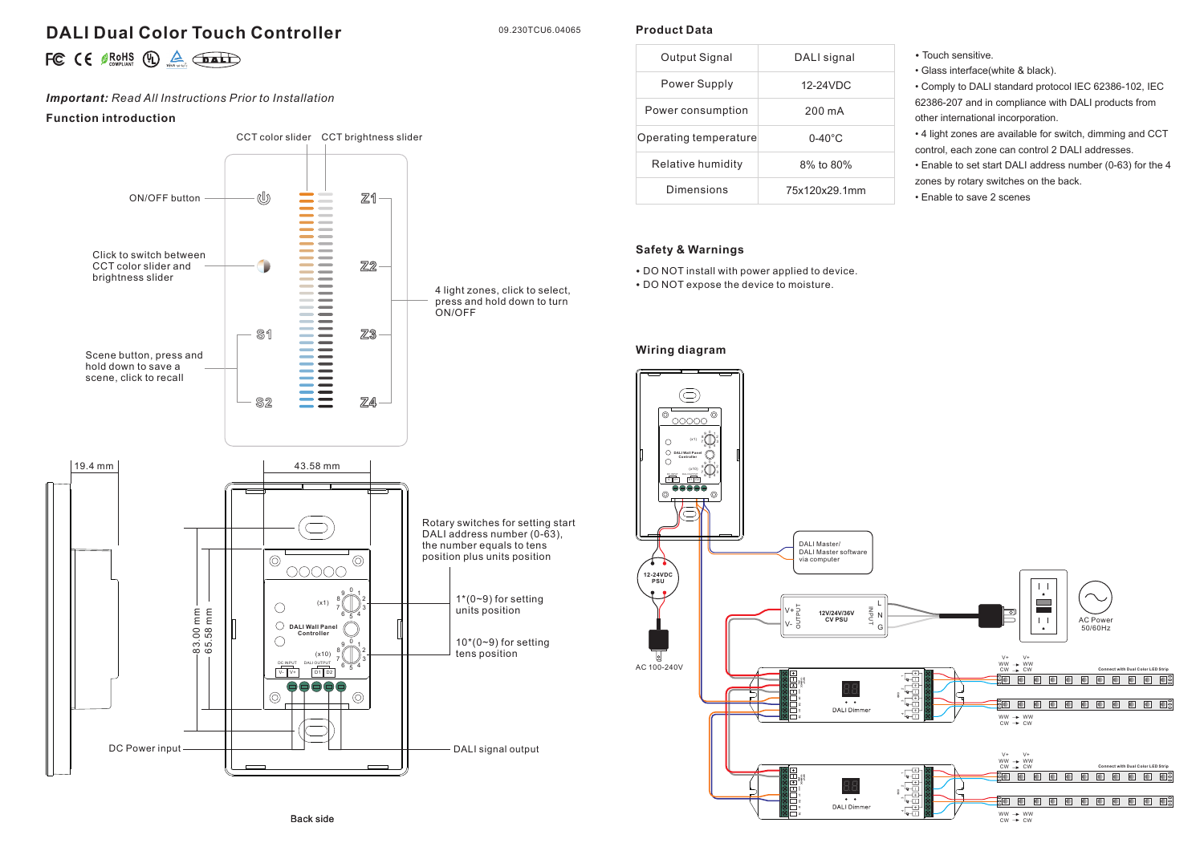# **DALI Dual Color Touch Controller**

09.230TCU6.04065

**Product Data**

|  |  |  | FC $\in$ $\mathcal{B}_{\text{COMALA}}^{ROHS}$ (D) $\triangle$ $\overline{\text{DAL}}$ |
|--|--|--|---------------------------------------------------------------------------------------|
|--|--|--|---------------------------------------------------------------------------------------|

# *Important: Read All Instructions Prior to Installation*

## **Function introduction**



| Output Signal         | DALI signal        |  |
|-----------------------|--------------------|--|
| Power Supply          | $12-24$ VDC        |  |
| Power consumption     | 200 mA             |  |
| Operating temperature | $0 - 40^{\circ}$ C |  |
| Relative humidity     | $8\%$ to $80\%$    |  |
| Dimensions            | 75x120x29.1mm      |  |

#### **Safety & Warnings**

• DO NOT install with power applied to device. • DO NOT expose the device to moisture.

#### **Wiring diagram**



• Touch sensitive.

• Glass interface(white & black).

other international incorporation.

zones by rotary switches on the back.

• Enable to save 2 scenes

• Comply to DALI standard protocol IEC 62386-102, IEC 62386-207 and in compliance with DALI products from

• 4 light zones are available for switch, dimming and CCT control, each zone can control 2 DALI addresses. • Enable to set start DALI address number (0-63) for the 4